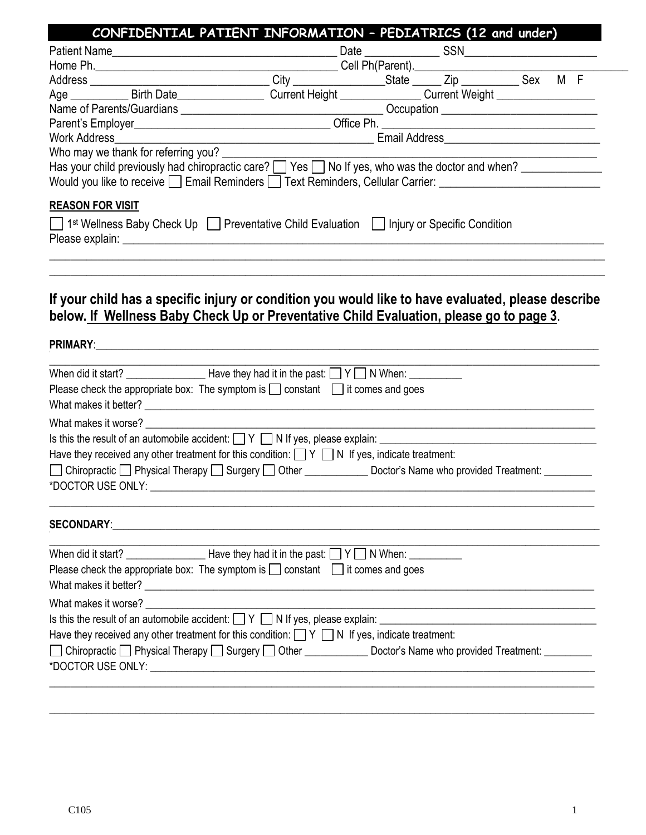|                                                                                                                                                                                                                                                                                                                                                                                                                                                                                                                                                                                                                                                                                                                                                                                                                                                                                                                       | CONFIDENTIAL PATIENT INFORMATION - PEDIATRICS (12 and under)                            |  |  |  |
|-----------------------------------------------------------------------------------------------------------------------------------------------------------------------------------------------------------------------------------------------------------------------------------------------------------------------------------------------------------------------------------------------------------------------------------------------------------------------------------------------------------------------------------------------------------------------------------------------------------------------------------------------------------------------------------------------------------------------------------------------------------------------------------------------------------------------------------------------------------------------------------------------------------------------|-----------------------------------------------------------------------------------------|--|--|--|
|                                                                                                                                                                                                                                                                                                                                                                                                                                                                                                                                                                                                                                                                                                                                                                                                                                                                                                                       |                                                                                         |  |  |  |
|                                                                                                                                                                                                                                                                                                                                                                                                                                                                                                                                                                                                                                                                                                                                                                                                                                                                                                                       |                                                                                         |  |  |  |
|                                                                                                                                                                                                                                                                                                                                                                                                                                                                                                                                                                                                                                                                                                                                                                                                                                                                                                                       |                                                                                         |  |  |  |
| Age ______________ Birth Date_______________________Current Height _______________Current Weight ___________________                                                                                                                                                                                                                                                                                                                                                                                                                                                                                                                                                                                                                                                                                                                                                                                                  |                                                                                         |  |  |  |
|                                                                                                                                                                                                                                                                                                                                                                                                                                                                                                                                                                                                                                                                                                                                                                                                                                                                                                                       |                                                                                         |  |  |  |
|                                                                                                                                                                                                                                                                                                                                                                                                                                                                                                                                                                                                                                                                                                                                                                                                                                                                                                                       |                                                                                         |  |  |  |
| Who may we thank for referring you?                                                                                                                                                                                                                                                                                                                                                                                                                                                                                                                                                                                                                                                                                                                                                                                                                                                                                   |                                                                                         |  |  |  |
| Has your child previously had chiropractic care? [ ] Yes [ ] No If yes, who was the doctor and when? [ __________                                                                                                                                                                                                                                                                                                                                                                                                                                                                                                                                                                                                                                                                                                                                                                                                     |                                                                                         |  |  |  |
| Would you like to receive D Email Reminders D Text Reminders, Cellular Carrier: University Connective Connection                                                                                                                                                                                                                                                                                                                                                                                                                                                                                                                                                                                                                                                                                                                                                                                                      |                                                                                         |  |  |  |
| <b>REASON FOR VISIT</b>                                                                                                                                                                                                                                                                                                                                                                                                                                                                                                                                                                                                                                                                                                                                                                                                                                                                                               |                                                                                         |  |  |  |
|                                                                                                                                                                                                                                                                                                                                                                                                                                                                                                                                                                                                                                                                                                                                                                                                                                                                                                                       |                                                                                         |  |  |  |
| 1st Wellness Baby Check Up Preventative Child Evaluation   Injury or Specific Condition                                                                                                                                                                                                                                                                                                                                                                                                                                                                                                                                                                                                                                                                                                                                                                                                                               |                                                                                         |  |  |  |
|                                                                                                                                                                                                                                                                                                                                                                                                                                                                                                                                                                                                                                                                                                                                                                                                                                                                                                                       |                                                                                         |  |  |  |
|                                                                                                                                                                                                                                                                                                                                                                                                                                                                                                                                                                                                                                                                                                                                                                                                                                                                                                                       |                                                                                         |  |  |  |
|                                                                                                                                                                                                                                                                                                                                                                                                                                                                                                                                                                                                                                                                                                                                                                                                                                                                                                                       |                                                                                         |  |  |  |
| If your child has a specific injury or condition you would like to have evaluated, please describe                                                                                                                                                                                                                                                                                                                                                                                                                                                                                                                                                                                                                                                                                                                                                                                                                    |                                                                                         |  |  |  |
|                                                                                                                                                                                                                                                                                                                                                                                                                                                                                                                                                                                                                                                                                                                                                                                                                                                                                                                       | below. If Wellness Baby Check Up or Preventative Child Evaluation, please go to page 3. |  |  |  |
|                                                                                                                                                                                                                                                                                                                                                                                                                                                                                                                                                                                                                                                                                                                                                                                                                                                                                                                       |                                                                                         |  |  |  |
|                                                                                                                                                                                                                                                                                                                                                                                                                                                                                                                                                                                                                                                                                                                                                                                                                                                                                                                       |                                                                                         |  |  |  |
|                                                                                                                                                                                                                                                                                                                                                                                                                                                                                                                                                                                                                                                                                                                                                                                                                                                                                                                       |                                                                                         |  |  |  |
|                                                                                                                                                                                                                                                                                                                                                                                                                                                                                                                                                                                                                                                                                                                                                                                                                                                                                                                       |                                                                                         |  |  |  |
|                                                                                                                                                                                                                                                                                                                                                                                                                                                                                                                                                                                                                                                                                                                                                                                                                                                                                                                       |                                                                                         |  |  |  |
|                                                                                                                                                                                                                                                                                                                                                                                                                                                                                                                                                                                                                                                                                                                                                                                                                                                                                                                       |                                                                                         |  |  |  |
|                                                                                                                                                                                                                                                                                                                                                                                                                                                                                                                                                                                                                                                                                                                                                                                                                                                                                                                       |                                                                                         |  |  |  |
|                                                                                                                                                                                                                                                                                                                                                                                                                                                                                                                                                                                                                                                                                                                                                                                                                                                                                                                       |                                                                                         |  |  |  |
|                                                                                                                                                                                                                                                                                                                                                                                                                                                                                                                                                                                                                                                                                                                                                                                                                                                                                                                       |                                                                                         |  |  |  |
|                                                                                                                                                                                                                                                                                                                                                                                                                                                                                                                                                                                                                                                                                                                                                                                                                                                                                                                       |                                                                                         |  |  |  |
|                                                                                                                                                                                                                                                                                                                                                                                                                                                                                                                                                                                                                                                                                                                                                                                                                                                                                                                       |                                                                                         |  |  |  |
|                                                                                                                                                                                                                                                                                                                                                                                                                                                                                                                                                                                                                                                                                                                                                                                                                                                                                                                       |                                                                                         |  |  |  |
|                                                                                                                                                                                                                                                                                                                                                                                                                                                                                                                                                                                                                                                                                                                                                                                                                                                                                                                       |                                                                                         |  |  |  |
|                                                                                                                                                                                                                                                                                                                                                                                                                                                                                                                                                                                                                                                                                                                                                                                                                                                                                                                       |                                                                                         |  |  |  |
|                                                                                                                                                                                                                                                                                                                                                                                                                                                                                                                                                                                                                                                                                                                                                                                                                                                                                                                       |                                                                                         |  |  |  |
|                                                                                                                                                                                                                                                                                                                                                                                                                                                                                                                                                                                                                                                                                                                                                                                                                                                                                                                       |                                                                                         |  |  |  |
|                                                                                                                                                                                                                                                                                                                                                                                                                                                                                                                                                                                                                                                                                                                                                                                                                                                                                                                       |                                                                                         |  |  |  |
|                                                                                                                                                                                                                                                                                                                                                                                                                                                                                                                                                                                                                                                                                                                                                                                                                                                                                                                       |                                                                                         |  |  |  |
|                                                                                                                                                                                                                                                                                                                                                                                                                                                                                                                                                                                                                                                                                                                                                                                                                                                                                                                       | <u> 1980 - Johann John Stone, markin fizikar (</u>                                      |  |  |  |
|                                                                                                                                                                                                                                                                                                                                                                                                                                                                                                                                                                                                                                                                                                                                                                                                                                                                                                                       |                                                                                         |  |  |  |
| Have they received any other treatment for this condition: $\Box Y \Box N$ If yes, indicate treatment:                                                                                                                                                                                                                                                                                                                                                                                                                                                                                                                                                                                                                                                                                                                                                                                                                |                                                                                         |  |  |  |
| When did it start? $\frac{1}{\sqrt{1-\frac{1}{2}}}\sqrt{1-\frac{1}{2}}$ Have they had it in the past: $\Box$ Y $\Box$ N When: $\Box$<br>Please check the appropriate box: The symptom is $\Box$ constant $\Box$ it comes and goes<br>What makes it worse? What makes it worse?<br>Have they received any other treatment for this condition: $\Box Y \Box N$ If yes, indicate treatment:<br>□ Chiropractic □ Physical Therapy □ Surgery □ Other ______________ Doctor's Name who provided Treatment: _________<br>*DOCTOR USE ONLY:<br>When did it start? $\frac{1}{\sqrt{1-\frac{1}{2}}}\sqrt{1-\frac{1}{2}}$ Have they had it in the past: $\Box$ Y $\Box$ N When: $\Box$<br>Please check the appropriate box: The symptom is $\Box$ constant $\Box$ it comes and goes<br>What makes it worse?<br>□ Chiropractic □ Physical Therapy □ Surgery □ Other ______________ Doctor's Name who provided Treatment: ________ |                                                                                         |  |  |  |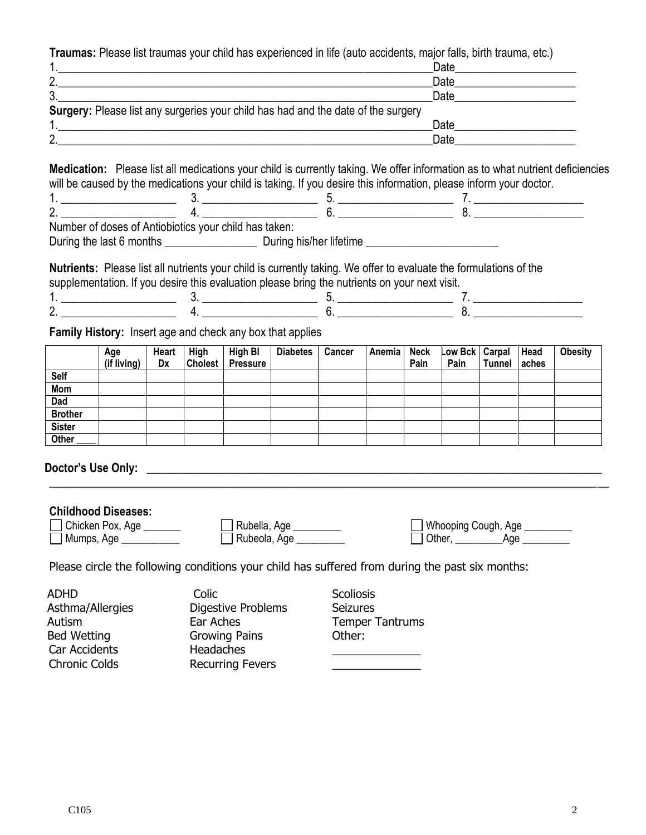**Traumas:** Please list traumas your child has experienced in life (auto accidents, major falls, birth trauma, etc.)

|                                                                                   | Date |
|-----------------------------------------------------------------------------------|------|
| າ                                                                                 | Date |
| າ<br>ັ                                                                            | Date |
| Surgery: Please list any surgeries your child has had and the date of the surgery |      |
|                                                                                   | Date |
| ∩                                                                                 | Date |

**Medication:** Please list all medications your child is currently taking. We offer information as to what nutrient deficiencies will be caused by the medications your child is taking. If you desire this information, please inform your doctor.

| - |  |  |  |
|---|--|--|--|
|   |  |  |  |

Number of doses of Antiobiotics your child has taken:

During the last 6 months \_\_\_\_\_\_\_\_\_\_\_\_\_\_\_\_ During his/her lifetime \_\_\_\_\_\_\_\_\_\_\_\_\_\_\_\_\_\_\_\_\_\_\_

**Nutrients:** Please list all nutrients your child is currently taking. We offer to evaluate the formulations of the supplementation. If you desire this evaluation please bring the nutrients on your next visit.

| - |  |  |
|---|--|--|

**Family History:** Insert age and check any box that applies

|                | Age         | <b>Heart</b> | High           | High BI         | <b>Diabetes</b> | Cancer | Anemia | <b>Neck</b> | Low Bck   Carpal |               | <b>Head</b> | <b>Obesity</b> |
|----------------|-------------|--------------|----------------|-----------------|-----------------|--------|--------|-------------|------------------|---------------|-------------|----------------|
|                | (if living) | Dx           | <b>Cholest</b> | <b>Pressure</b> |                 |        |        | Pain        | Pain             | <b>Tunnel</b> | aches       |                |
| Self           |             |              |                |                 |                 |        |        |             |                  |               |             |                |
| Mom            |             |              |                |                 |                 |        |        |             |                  |               |             |                |
| Dad            |             |              |                |                 |                 |        |        |             |                  |               |             |                |
| <b>Brother</b> |             |              |                |                 |                 |        |        |             |                  |               |             |                |
| <b>Sister</b>  |             |              |                |                 |                 |        |        |             |                  |               |             |                |
| Other          |             |              |                |                 |                 |        |        |             |                  |               |             |                |

## **Doctor's Use Only: \_\_\_\_\_\_\_\_\_\_\_\_\_\_\_\_\_\_\_\_\_\_\_\_\_\_\_\_\_\_\_\_\_\_\_\_\_\_\_\_\_\_\_\_\_\_\_\_\_\_\_\_\_\_\_\_\_\_\_\_\_\_\_\_\_\_\_\_\_\_\_\_\_\_\_\_\_\_\_**

**Childhood Diseases:** 

| UNIQUOOG DISEASES.<br>Chicken Pox, Age _______<br>Mumps, Age | Rubella, Age<br>Rubeola, Age | _] Whooping Cough, Age ୂ<br>I I Other,<br>Aae |
|--------------------------------------------------------------|------------------------------|-----------------------------------------------|
| $\sim$ 1                                                     |                              |                                               |

**\_\_\_\_\_\_\_\_\_\_\_\_\_\_\_\_\_\_\_\_\_\_\_\_\_\_\_\_\_\_\_\_\_\_\_\_\_\_\_\_\_\_\_\_\_\_\_\_\_\_\_\_\_\_\_\_\_\_\_\_\_\_\_\_\_\_\_\_\_\_\_\_\_\_\_\_\_\_\_\_\_\_\_\_\_\_\_\_\_\_\_\_\_\_\_\_\_**

Please circle the following conditions your child has suffered from during the past six months:

| <b>ADHD</b>          | Colic                     | <b>Scoliosis</b>       |
|----------------------|---------------------------|------------------------|
| Asthma/Allergies     | <b>Digestive Problems</b> | <b>Seizures</b>        |
| Autism               | Ear Aches                 | <b>Temper Tantrums</b> |
| <b>Bed Wetting</b>   | <b>Growing Pains</b>      | Other:                 |
| Car Accidents        | <b>Headaches</b>          |                        |
| <b>Chronic Colds</b> | <b>Recurring Fevers</b>   |                        |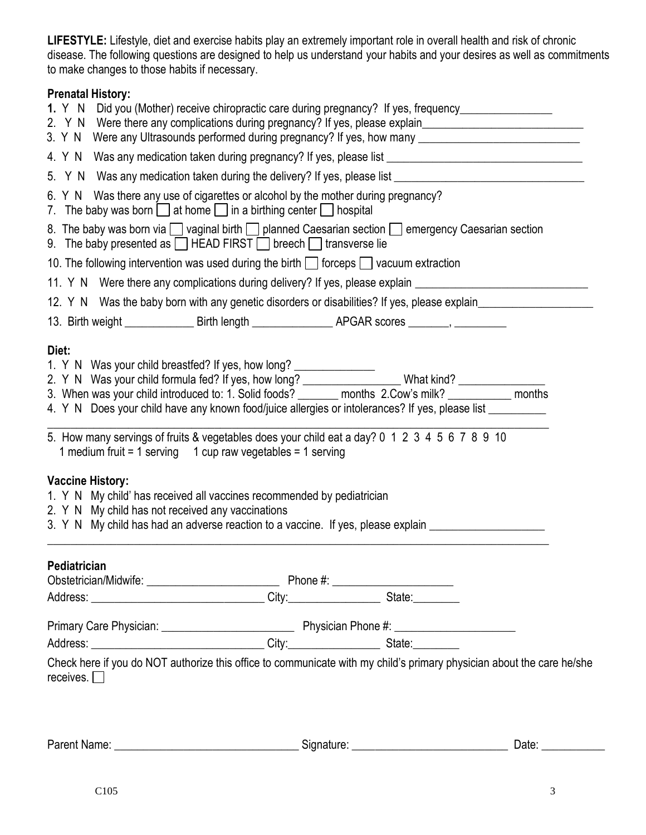**LIFESTYLE:** Lifestyle, diet and exercise habits play an extremely important role in overall health and risk of chronic disease. The following questions are designed to help us understand your habits and your desires as well as commitments to make changes to those habits if necessary.

# **Prenatal History:**

|                                                                                                                                                           | 1. Y N Did you (Mother) receive chiropractic care during pregnancy? If yes, frequency______________                                                                                                                                                                            |
|-----------------------------------------------------------------------------------------------------------------------------------------------------------|--------------------------------------------------------------------------------------------------------------------------------------------------------------------------------------------------------------------------------------------------------------------------------|
|                                                                                                                                                           | 2. Y N Were there any complications during pregnancy? If yes, please explain________________________<br>3. Y N Were any Ultrasounds performed during pregnancy? If yes, how many __________________________                                                                    |
|                                                                                                                                                           | 4. Y N Was any medication taken during pregnancy? If yes, please list ______________________________                                                                                                                                                                           |
| 5.                                                                                                                                                        | Y N Was any medication taken during the delivery? If yes, please list ______________________________                                                                                                                                                                           |
|                                                                                                                                                           | 6. Y N Was there any use of cigarettes or alcohol by the mother during pregnancy?<br>7. The baby was born $\Box$ at home $\Box$ in a birthing center $\Box$ hospital                                                                                                           |
|                                                                                                                                                           | 8. The baby was born via vaginal birth planned Caesarian section energency Caesarian section<br>9. The baby presented as $\Box$ HEAD FIRST $\Box$ breech $\Box$ transverse lie                                                                                                 |
|                                                                                                                                                           | 10. The following intervention was used during the birth $\Box$ forceps $\Box$ vacuum extraction                                                                                                                                                                               |
|                                                                                                                                                           | 11. Y N Were there any complications during delivery? If yes, please explain ______________________                                                                                                                                                                            |
|                                                                                                                                                           | 12. Y N Was the baby born with any genetic disorders or disabilities? If yes, please explain_________________                                                                                                                                                                  |
|                                                                                                                                                           |                                                                                                                                                                                                                                                                                |
| 1 medium fruit = 1 serving $\phantom{0}$ 1 cup raw vegetables = 1 serving<br><b>Vaccine History:</b><br>2. Y N My child has not received any vaccinations | 5. How many servings of fruits & vegetables does your child eat a day? 0 1 2 3 4 5 6 7 8 9 10<br>1. Y N My child' has received all vaccines recommended by pediatrician<br>3. Y N My child has had an adverse reaction to a vaccine. If yes, please explain __________________ |
|                                                                                                                                                           |                                                                                                                                                                                                                                                                                |
| <b>Pediatrician</b>                                                                                                                                       |                                                                                                                                                                                                                                                                                |
|                                                                                                                                                           |                                                                                                                                                                                                                                                                                |
|                                                                                                                                                           |                                                                                                                                                                                                                                                                                |
|                                                                                                                                                           |                                                                                                                                                                                                                                                                                |

Parent Name: \_\_\_\_\_\_\_\_\_\_\_\_\_\_\_\_\_\_\_\_\_\_\_\_\_\_\_\_\_\_\_\_ Signature: \_\_\_\_\_\_\_\_\_\_\_\_\_\_\_\_\_\_\_\_\_\_\_\_\_\_\_ Date: \_\_\_\_\_\_\_\_\_\_\_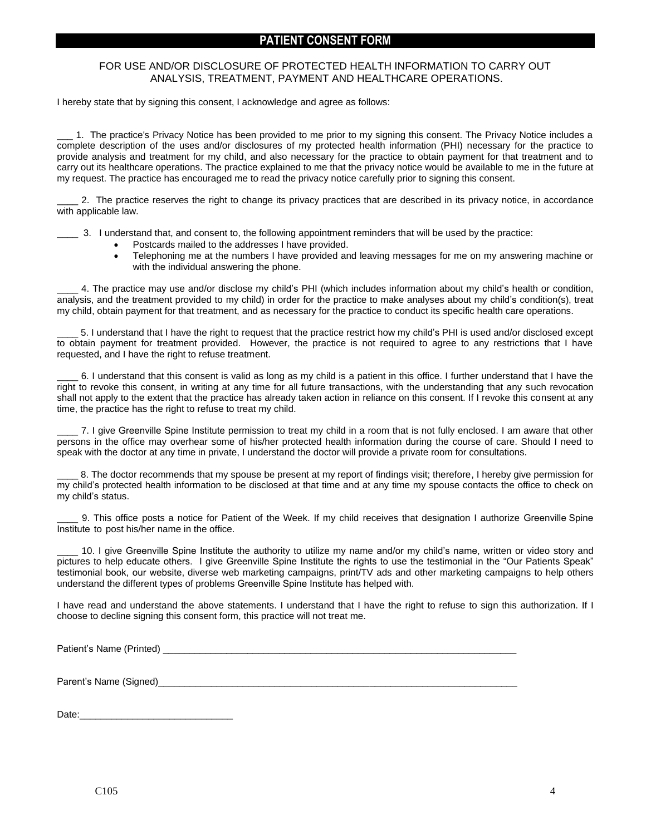### **PATIENT CONSENT FORM**

#### FOR USE AND/OR DISCLOSURE OF PROTECTED HEALTH INFORMATION TO CARRY OUT ANALYSIS, TREATMENT, PAYMENT AND HEALTHCARE OPERATIONS.

I hereby state that by signing this consent, I acknowledge and agree as follows:

1. The practice's Privacy Notice has been provided to me prior to my signing this consent. The Privacy Notice includes a complete description of the uses and/or disclosures of my protected health information (PHI) necessary for the practice to provide analysis and treatment for my child, and also necessary for the practice to obtain payment for that treatment and to carry out its healthcare operations. The practice explained to me that the privacy notice would be available to me in the future at my request. The practice has encouraged me to read the privacy notice carefully prior to signing this consent.

\_\_\_\_ 2. The practice reserves the right to change its privacy practices that are described in its privacy notice, in accordance with applicable law.

\_\_\_\_ 3. I understand that, and consent to, the following appointment reminders that will be used by the practice:

- Postcards mailed to the addresses I have provided.
- Telephoning me at the numbers I have provided and leaving messages for me on my answering machine or with the individual answering the phone.

\_\_\_\_ 4. The practice may use and/or disclose my child's PHI (which includes information about my child's health or condition, analysis, and the treatment provided to my child) in order for the practice to make analyses about my child's condition(s), treat my child, obtain payment for that treatment, and as necessary for the practice to conduct its specific health care operations.

\_\_\_\_ 5. I understand that I have the right to request that the practice restrict how my child's PHI is used and/or disclosed except to obtain payment for treatment provided. However, the practice is not required to agree to any restrictions that I have requested, and I have the right to refuse treatment.

\_\_\_\_ 6. I understand that this consent is valid as long as my child is a patient in this office. I further understand that I have the right to revoke this consent, in writing at any time for all future transactions, with the understanding that any such revocation shall not apply to the extent that the practice has already taken action in reliance on this consent. If I revoke this consent at any time, the practice has the right to refuse to treat my child.

\_\_\_\_ 7. I give Greenville Spine Institute permission to treat my child in a room that is not fully enclosed. I am aware that other persons in the office may overhear some of his/her protected health information during the course of care. Should I need to speak with the doctor at any time in private, I understand the doctor will provide a private room for consultations.

\_\_\_\_ 8. The doctor recommends that my spouse be present at my report of findings visit; therefore, I hereby give permission for my child's protected health information to be disclosed at that time and at any time my spouse contacts the office to check on my child's status.

\_\_\_\_ 9. This office posts a notice for Patient of the Week. If my child receives that designation I authorize Greenville Spine Institute to post his/her name in the office.

10. I give Greenville Spine Institute the authority to utilize my name and/or my child's name, written or video story and pictures to help educate others. I give Greenville Spine Institute the rights to use the testimonial in the "Our Patients Speak" testimonial book, our website, diverse web marketing campaigns, print/TV ads and other marketing campaigns to help others understand the different types of problems Greenville Spine Institute has helped with.

I have read and understand the above statements. I understand that I have the right to refuse to sign this authorization. If I choose to decline signing this consent form, this practice will not treat me.

Patient's Name (Printed) \_\_\_\_\_\_\_\_\_\_\_\_\_\_\_\_\_\_\_\_\_\_\_\_\_\_\_\_\_\_\_\_\_\_\_\_\_\_\_\_\_\_\_\_\_\_\_\_\_\_\_\_\_\_\_\_\_\_\_\_\_\_\_\_\_\_\_

Parent's Name (Signed)

Date:\_